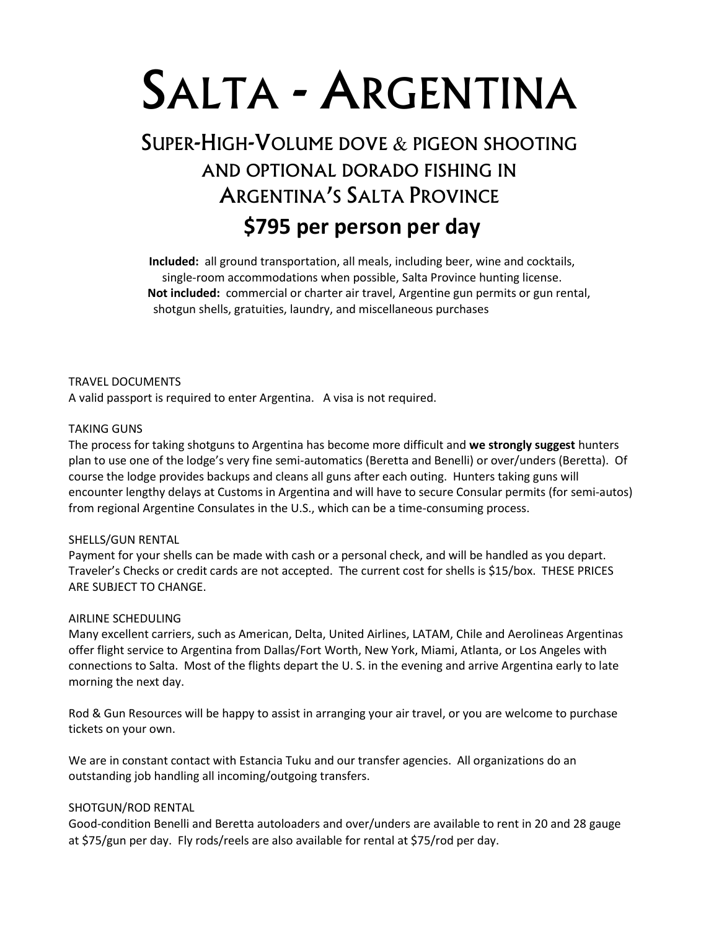# SALTA - ARGENTINA

# SUPER-HIGH-VOLUME DOVE & PIGEON SHOOTING AND OPTIONAL DORADO FISHING IN ARGENTINA'S SALTA PROVINCE  **\$795 per person per day**

**Included:** all ground transportation, all meals, including beer, wine and cocktails, single-room accommodations when possible, Salta Province hunting license.  **Not included:** commercial or charter air travel, Argentine gun permits or gun rental, shotgun shells, gratuities, laundry, and miscellaneous purchases

TRAVEL DOCUMENTS A valid passport is required to enter Argentina. A visa is not required.

# TAKING GUNS

The process for taking shotguns to Argentina has become more difficult and **we strongly suggest** hunters plan to use one of the lodge's very fine semi-automatics (Beretta and Benelli) or over/unders (Beretta). Of course the lodge provides backups and cleans all guns after each outing. Hunters taking guns will encounter lengthy delays at Customs in Argentina and will have to secure Consular permits (for semi-autos) from regional Argentine Consulates in the U.S., which can be a time-consuming process.

# SHELLS/GUN RENTAL

Payment for your shells can be made with cash or a personal check, and will be handled as you depart. Traveler's Checks or credit cards are not accepted. The current cost for shells is \$15/box. THESE PRICES ARE SUBJECT TO CHANGE.

# AIRLINE SCHEDULING

Many excellent carriers, such as American, Delta, United Airlines, LATAM, Chile and Aerolineas Argentinas offer flight service to Argentina from Dallas/Fort Worth, New York, Miami, Atlanta, or Los Angeles with connections to Salta. Most of the flights depart the U. S. in the evening and arrive Argentina early to late morning the next day.

Rod & Gun Resources will be happy to assist in arranging your air travel, or you are welcome to purchase tickets on your own.

We are in constant contact with Estancia Tuku and our transfer agencies. All organizations do an outstanding job handling all incoming/outgoing transfers.

# SHOTGUN/ROD RENTAL

Good-condition Benelli and Beretta autoloaders and over/unders are available to rent in 20 and 28 gauge at \$75/gun per day. Fly rods/reels are also available for rental at \$75/rod per day.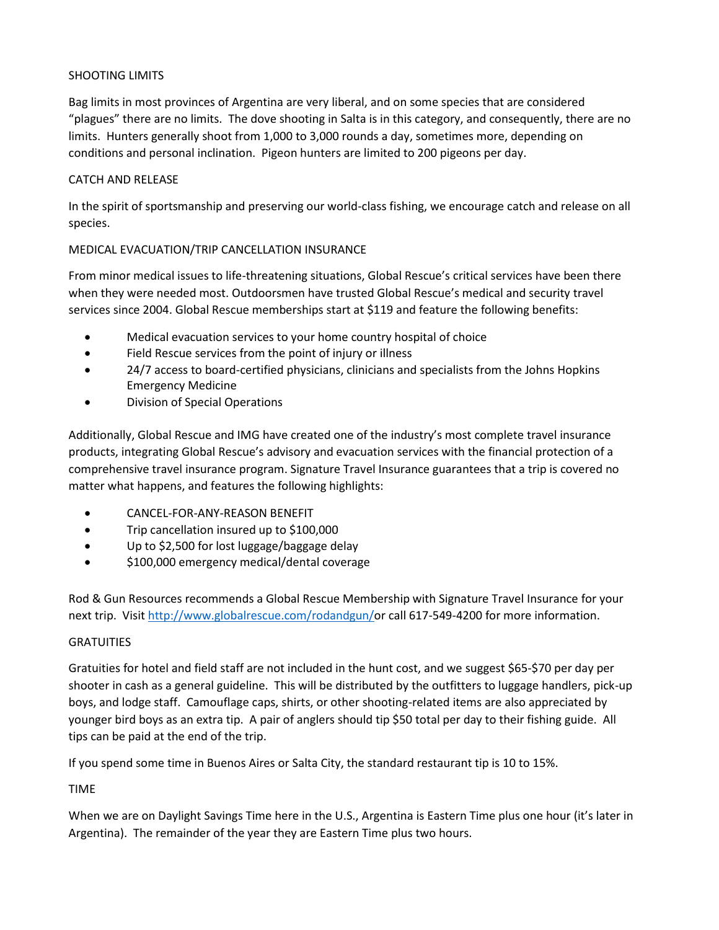# SHOOTING LIMITS

Bag limits in most provinces of Argentina are very liberal, and on some species that are considered "plagues" there are no limits. The dove shooting in Salta is in this category, and consequently, there are no limits. Hunters generally shoot from 1,000 to 3,000 rounds a day, sometimes more, depending on conditions and personal inclination. Pigeon hunters are limited to 200 pigeons per day.

# CATCH AND RELEASE

In the spirit of sportsmanship and preserving our world-class fishing, we encourage catch and release on all species.

# MEDICAL EVACUATION/TRIP CANCELLATION INSURANCE

From minor medical issues to life-threatening situations, Global Rescue's critical services have been there when they were needed most. Outdoorsmen have trusted Global Rescue's medical and security travel services since 2004. Global Rescue memberships start at \$119 and feature the following benefits:

- Medical evacuation services to your home country hospital of choice
- Field Rescue services from the point of injury or illness
- 24/7 access to board-certified physicians, clinicians and specialists from the Johns Hopkins Emergency Medicine
- Division of Special Operations

Additionally, Global Rescue and IMG have created one of the industry's most complete travel insurance products, integrating Global Rescue's advisory and evacuation services with the financial protection of a comprehensive travel insurance program. Signature Travel Insurance guarantees that a trip is covered no matter what happens, and features the following highlights:

- CANCEL-FOR-ANY-REASON BENEFIT
- Trip cancellation insured up to \$100,000
- Up to \$2,500 for lost luggage/baggage delay
- \$100,000 emergency medical/dental coverage

Rod & Gun Resources recommends a Global Rescue Membership with Signature Travel Insurance for your next trip. Visit [http://www.globalrescue.com/rodandgun/o](http://www.globalrescue.com/rodandgun/)r call 617-549-4200 for more information.

# **GRATUITIES**

Gratuities for hotel and field staff are not included in the hunt cost, and we suggest \$65-\$70 per day per shooter in cash as a general guideline. This will be distributed by the outfitters to luggage handlers, pick-up boys, and lodge staff. Camouflage caps, shirts, or other shooting-related items are also appreciated by younger bird boys as an extra tip. A pair of anglers should tip \$50 total per day to their fishing guide. All tips can be paid at the end of the trip.

If you spend some time in Buenos Aires or Salta City, the standard restaurant tip is 10 to 15%.

# TIME

When we are on Daylight Savings Time here in the U.S., Argentina is Eastern Time plus one hour (it's later in Argentina). The remainder of the year they are Eastern Time plus two hours.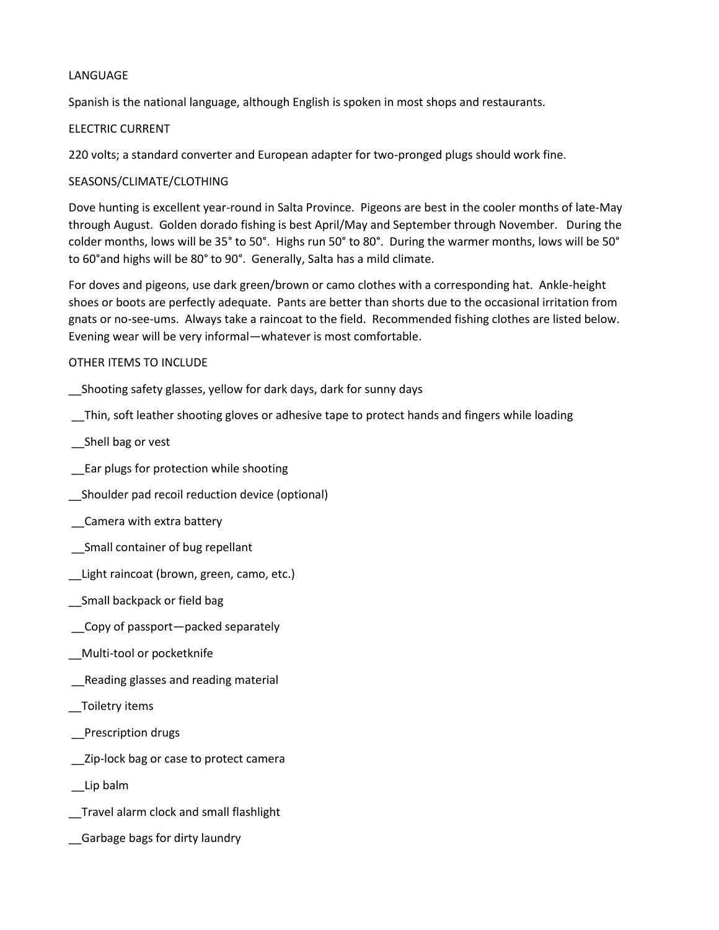# LANGUAGE

Spanish is the national language, although English is spoken in most shops and restaurants.

# ELECTRIC CURRENT

220 volts; a standard converter and European adapter for two-pronged plugs should work fine.

# SEASONS/CLIMATE/CLOTHING

Dove hunting is excellent year-round in Salta Province. Pigeons are best in the cooler months of late-May through August. Golden dorado fishing is best April/May and September through November. During the colder months, lows will be 35° to 50°. Highs run 50° to 80°. During the warmer months, lows will be 50° to 60°and highs will be 80° to 90°. Generally, Salta has a mild climate.

For doves and pigeons, use dark green/brown or camo clothes with a corresponding hat. Ankle-height shoes or boots are perfectly adequate. Pants are better than shorts due to the occasional irritation from gnats or no-see-ums. Always take a raincoat to the field. Recommended fishing clothes are listed below. Evening wear will be very informal—whatever is most comfortable.

### OTHER ITEMS TO INCLUDE

\_\_Shooting safety glasses, yellow for dark days, dark for sunny days

\_\_Thin, soft leather shooting gloves or adhesive tape to protect hands and fingers while loading

\_\_Shell bag or vest

\_\_Ear plugs for protection while shooting

\_\_Shoulder pad recoil reduction device (optional)

\_\_Camera with extra battery

\_\_Small container of bug repellant

\_\_Light raincoat (brown, green, camo, etc.)

\_\_Small backpack or field bag

\_\_Copy of passport—packed separately

\_\_Multi-tool or pocketknife

\_\_Reading glasses and reading material

\_\_Toiletry items

\_\_Prescription drugs

\_\_Zip-lock bag or case to protect camera

\_\_Lip balm

\_\_Travel alarm clock and small flashlight

\_\_Garbage bags for dirty laundry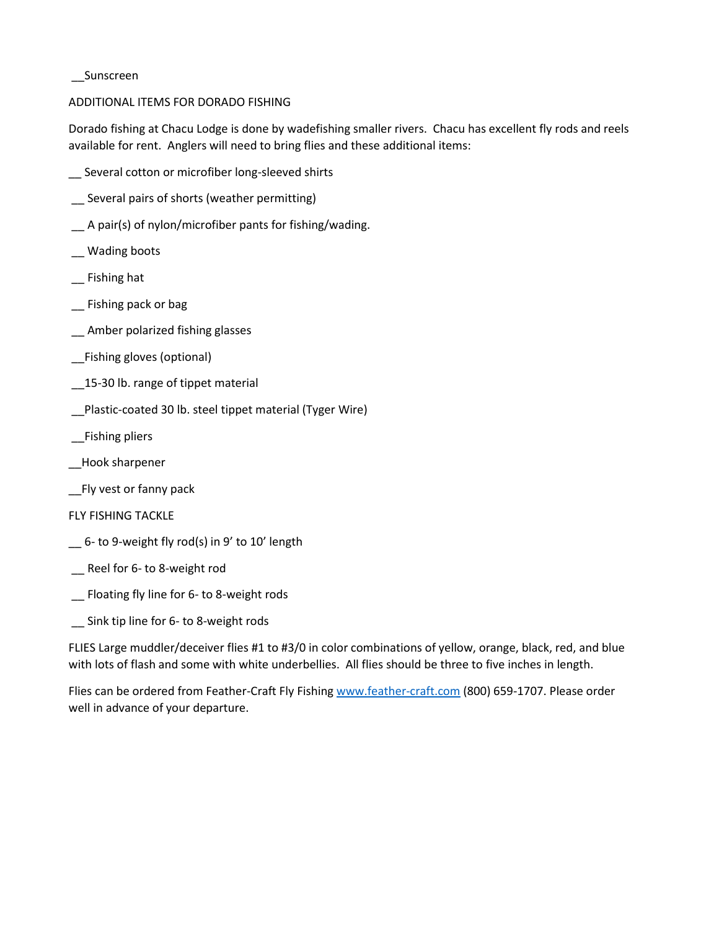#### \_\_Sunscreen

# ADDITIONAL ITEMS FOR DORADO FISHING

Dorado fishing at Chacu Lodge is done by wadefishing smaller rivers. Chacu has excellent fly rods and reels available for rent. Anglers will need to bring flies and these additional items:

- \_\_ Several cotton or microfiber long-sleeved shirts
- \_\_ Several pairs of shorts (weather permitting)
- \_\_ A pair(s) of nylon/microfiber pants for fishing/wading.
- \_\_ Wading boots
- \_\_ Fishing hat
- \_\_ Fishing pack or bag
- \_\_ Amber polarized fishing glasses
- \_\_Fishing gloves (optional)
- 15-30 lb. range of tippet material
- \_\_Plastic-coated 30 lb. steel tippet material (Tyger Wire)
- \_\_Fishing pliers
- \_\_Hook sharpener
- \_\_Fly vest or fanny pack
- FLY FISHING TACKLE
- \_\_ 6- to 9-weight fly rod(s) in 9' to 10' length
- \_\_ Reel for 6- to 8-weight rod
- \_\_ Floating fly line for 6- to 8-weight rods
- \_\_ Sink tip line for 6- to 8-weight rods

FLIES Large muddler/deceiver flies #1 to #3/0 in color combinations of yellow, orange, black, red, and blue with lots of flash and some with white underbellies. All flies should be three to five inches in length.

Flies can be ordered from Feather-Craft Fly Fishin[g www.feather-craft.com](http://www.feather-craft.com/) (800) 659-1707. Please order well in advance of your departure.